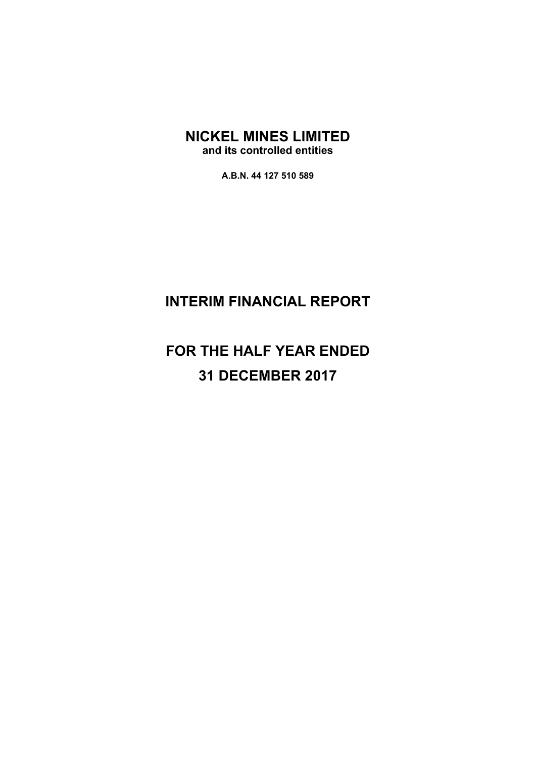**A.B.N. 44 127 510 589** 

# **INTERIM FINANCIAL REPORT**

# **FOR THE HALF YEAR ENDED 31 DECEMBER 2017**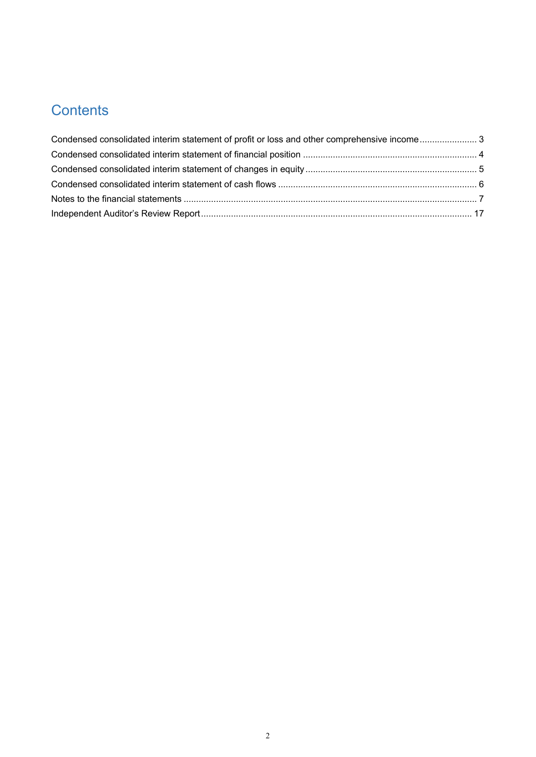# **Contents**

| Condensed consolidated interim statement of profit or loss and other comprehensive income 3 |  |
|---------------------------------------------------------------------------------------------|--|
|                                                                                             |  |
|                                                                                             |  |
|                                                                                             |  |
|                                                                                             |  |
|                                                                                             |  |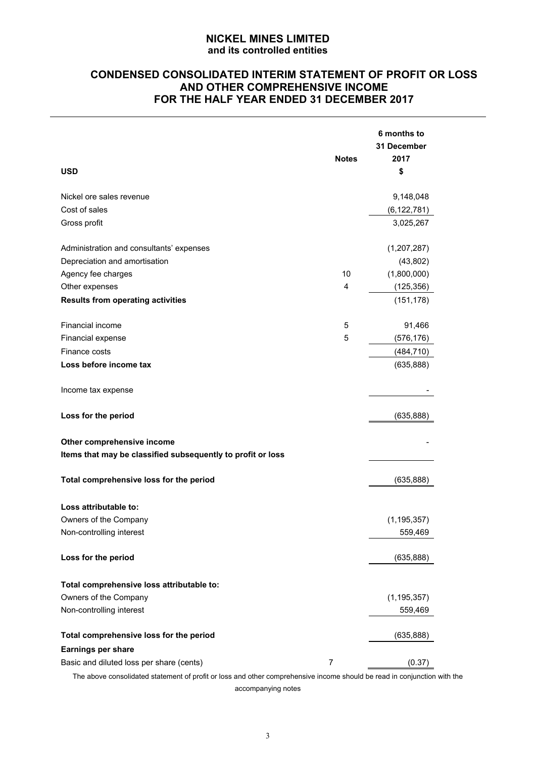# **CONDENSED CONSOLIDATED INTERIM STATEMENT OF PROFIT OR LOSS AND OTHER COMPREHENSIVE INCOME FOR THE HALF YEAR ENDED 31 DECEMBER 2017**

|                                                             | <b>Notes</b>   | 6 months to<br>31 December<br>2017 |
|-------------------------------------------------------------|----------------|------------------------------------|
| <b>USD</b>                                                  |                | \$                                 |
| Nickel ore sales revenue                                    |                | 9,148,048                          |
| Cost of sales                                               |                | (6, 122, 781)                      |
| Gross profit                                                |                | 3,025,267                          |
| Administration and consultants' expenses                    |                | (1,207,287)                        |
| Depreciation and amortisation                               |                | (43, 802)                          |
| Agency fee charges                                          | 10             | (1,800,000)                        |
| Other expenses                                              | 4              | (125, 356)                         |
| <b>Results from operating activities</b>                    |                | (151, 178)                         |
| Financial income                                            | 5              | 91,466                             |
| Financial expense                                           | 5              | (576, 176)                         |
| Finance costs                                               |                | (484, 710)                         |
| Loss before income tax                                      |                | (635, 888)                         |
| Income tax expense                                          |                |                                    |
| Loss for the period                                         |                | (635, 888)                         |
| Other comprehensive income                                  |                |                                    |
| Items that may be classified subsequently to profit or loss |                |                                    |
| Total comprehensive loss for the period                     |                | (635, 888)                         |
| Loss attributable to:                                       |                |                                    |
| Owners of the Company                                       |                | (1, 195, 357)                      |
| Non-controlling interest                                    |                | 559,469                            |
| Loss for the period                                         |                | (635, 888)                         |
| Total comprehensive loss attributable to:                   |                |                                    |
| Owners of the Company                                       |                | (1, 195, 357)                      |
| Non-controlling interest                                    |                | 559,469                            |
| Total comprehensive loss for the period                     |                | (635, 888)                         |
| <b>Earnings per share</b>                                   |                |                                    |
| Basic and diluted loss per share (cents)                    | $\overline{7}$ | (0.37)                             |

The above consolidated statement of profit or loss and other comprehensive income should be read in conjunction with the accompanying notes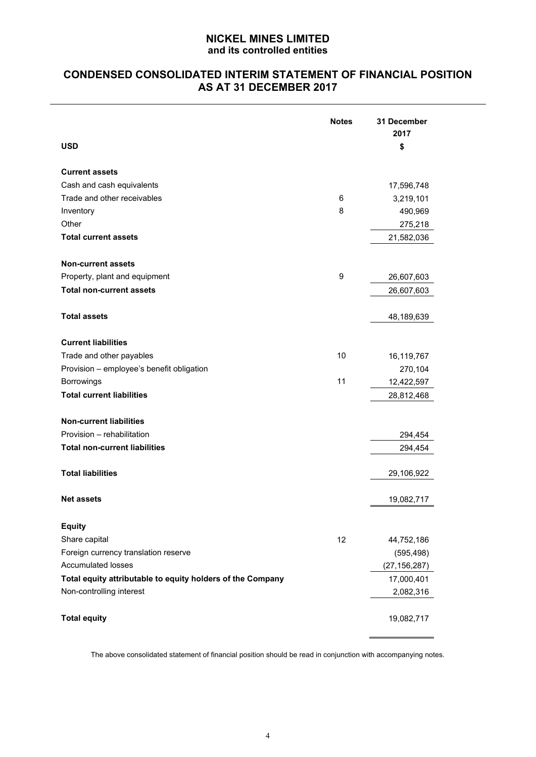# **CONDENSED CONSOLIDATED INTERIM STATEMENT OF FINANCIAL POSITION AS AT 31 DECEMBER 2017**

| <b>USD</b>                                                 | <b>Notes</b> | 31 December<br>2017<br>\$ |
|------------------------------------------------------------|--------------|---------------------------|
|                                                            |              |                           |
| <b>Current assets</b>                                      |              |                           |
| Cash and cash equivalents                                  |              | 17,596,748                |
| Trade and other receivables                                | 6            | 3,219,101                 |
| Inventory                                                  | 8            | 490,969                   |
| Other                                                      |              | 275,218                   |
| <b>Total current assets</b>                                |              | 21,582,036                |
| <b>Non-current assets</b>                                  |              |                           |
| Property, plant and equipment                              | 9            | 26,607,603                |
| <b>Total non-current assets</b>                            |              | 26,607,603                |
| <b>Total assets</b>                                        |              | 48,189,639                |
| <b>Current liabilities</b>                                 |              |                           |
| Trade and other payables                                   | 10           | 16,119,767                |
| Provision - employee's benefit obligation                  |              | 270,104                   |
| <b>Borrowings</b>                                          | 11           | 12,422,597                |
| <b>Total current liabilities</b>                           |              | 28,812,468                |
| <b>Non-current liabilities</b>                             |              |                           |
| Provision - rehabilitation                                 |              | 294,454                   |
| <b>Total non-current liabilities</b>                       |              | 294,454                   |
| <b>Total liabilities</b>                                   |              | 29,106,922                |
| <b>Net assets</b>                                          |              | 19,082,717                |
| <b>Equity</b>                                              |              |                           |
| Share capital                                              | 12           | 44,752,186                |
| Foreign currency translation reserve                       |              | (595, 498)                |
| <b>Accumulated losses</b>                                  |              | (27, 156, 287)            |
| Total equity attributable to equity holders of the Company |              | 17,000,401                |
| Non-controlling interest                                   |              | 2,082,316                 |
|                                                            |              |                           |
| <b>Total equity</b>                                        |              | 19,082,717                |

The above consolidated statement of financial position should be read in conjunction with accompanying notes.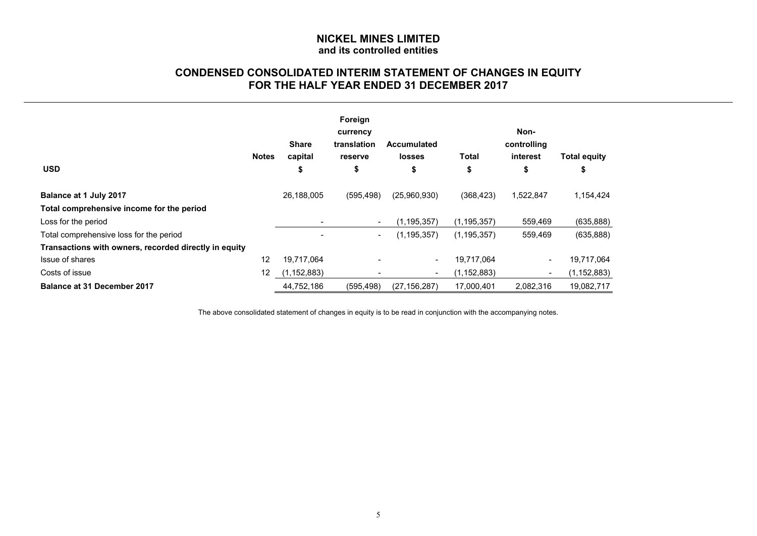# **CONDENSED CONSOLIDATED INTERIM STATEMENT OF CHANGES IN EQUITY FOR THE HALF YEAR ENDED 31 DECEMBER 2017**

|                                                       |              | <b>Share</b>  | Foreign<br>currency<br>translation | <b>Accumulated</b>       |               | Non-<br>controlling      |                           |
|-------------------------------------------------------|--------------|---------------|------------------------------------|--------------------------|---------------|--------------------------|---------------------------|
| <b>USD</b>                                            | <b>Notes</b> | capital<br>\$ | reserve<br>\$                      | <b>losses</b><br>\$      | Total<br>\$   | interest<br>\$           | <b>Total equity</b><br>\$ |
| Balance at 1 July 2017                                |              | 26,188,005    | (595, 498)                         | (25,960,930)             | (368, 423)    | 1,522,847                | 1,154,424                 |
| Total comprehensive income for the period             |              |               |                                    |                          |               |                          |                           |
| Loss for the period                                   |              |               | $\blacksquare$                     | (1, 195, 357)            | (1, 195, 357) | 559,469                  | (635, 888)                |
| Total comprehensive loss for the period               |              |               | $\overline{\phantom{a}}$           | (1, 195, 357)            | (1, 195, 357) | 559,469                  | (635, 888)                |
| Transactions with owners, recorded directly in equity |              |               |                                    |                          |               |                          |                           |
| Issue of shares                                       | 12           | 19,717,064    |                                    | $\overline{\phantom{a}}$ | 19.717.064    | $\overline{\phantom{a}}$ | 19,717,064                |
| Costs of issue                                        | 12           | (1, 152, 883) |                                    | $\overline{\phantom{a}}$ | (1, 152, 883) | $\overline{\phantom{a}}$ | (1, 152, 883)             |
| <b>Balance at 31 December 2017</b>                    |              | 44,752,186    | (595, 498)                         | (27, 156, 287)           | 17,000,401    | 2.082.316                | 19,082,717                |

The above consolidated statement of changes in equity is to be read in conjunction with the accompanying notes.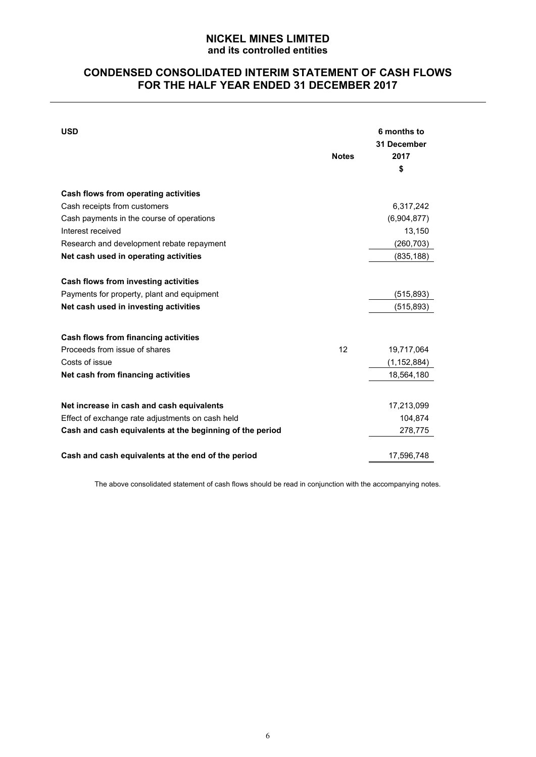# **CONDENSED CONSOLIDATED INTERIM STATEMENT OF CASH FLOWS FOR THE HALF YEAR ENDED 31 DECEMBER 2017**

| <b>USD</b>                                               | <b>Notes</b> | 6 months to<br>31 December<br>2017<br>\$ |
|----------------------------------------------------------|--------------|------------------------------------------|
| Cash flows from operating activities                     |              |                                          |
| Cash receipts from customers                             |              | 6,317,242                                |
| Cash payments in the course of operations                |              | (6,904,877)                              |
| Interest received                                        |              | 13,150                                   |
| Research and development rebate repayment                |              | (260, 703)                               |
| Net cash used in operating activities                    |              | (835, 188)                               |
| Cash flows from investing activities                     |              |                                          |
| Payments for property, plant and equipment               |              | (515, 893)                               |
| Net cash used in investing activities                    |              | (515, 893)                               |
| Cash flows from financing activities                     |              |                                          |
| Proceeds from issue of shares                            | 12           | 19,717,064                               |
| Costs of issue                                           |              | (1, 152, 884)                            |
| Net cash from financing activities                       |              | 18,564,180                               |
| Net increase in cash and cash equivalents                |              | 17,213,099                               |
| Effect of exchange rate adjustments on cash held         |              | 104,874                                  |
| Cash and cash equivalents at the beginning of the period |              | 278,775                                  |
| Cash and cash equivalents at the end of the period       |              | 17,596,748                               |

The above consolidated statement of cash flows should be read in conjunction with the accompanying notes.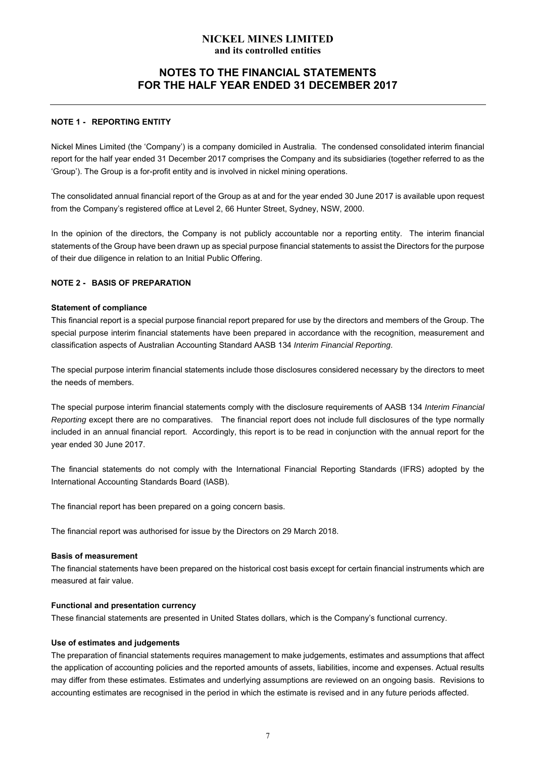# **NOTES TO THE FINANCIAL STATEMENTS FOR THE HALF YEAR ENDED 31 DECEMBER 2017**

#### **NOTE 1 - REPORTING ENTITY**

Nickel Mines Limited (the 'Company') is a company domiciled in Australia. The condensed consolidated interim financial report for the half year ended 31 December 2017 comprises the Company and its subsidiaries (together referred to as the 'Group'). The Group is a for-profit entity and is involved in nickel mining operations.

The consolidated annual financial report of the Group as at and for the year ended 30 June 2017 is available upon request from the Company's registered office at Level 2, 66 Hunter Street, Sydney, NSW, 2000.

In the opinion of the directors, the Company is not publicly accountable nor a reporting entity. The interim financial statements of the Group have been drawn up as special purpose financial statements to assist the Directors for the purpose of their due diligence in relation to an Initial Public Offering.

#### **NOTE 2 - BASIS OF PREPARATION**

#### **Statement of compliance**

This financial report is a special purpose financial report prepared for use by the directors and members of the Group. The special purpose interim financial statements have been prepared in accordance with the recognition, measurement and classification aspects of Australian Accounting Standard AASB 134 *Interim Financial Reporting*.

The special purpose interim financial statements include those disclosures considered necessary by the directors to meet the needs of members.

The special purpose interim financial statements comply with the disclosure requirements of AASB 134 *Interim Financial Reporting* except there are no comparatives. The financial report does not include full disclosures of the type normally included in an annual financial report. Accordingly, this report is to be read in conjunction with the annual report for the year ended 30 June 2017.

The financial statements do not comply with the International Financial Reporting Standards (IFRS) adopted by the International Accounting Standards Board (IASB).

The financial report has been prepared on a going concern basis.

The financial report was authorised for issue by the Directors on 29 March 2018.

#### **Basis of measurement**

The financial statements have been prepared on the historical cost basis except for certain financial instruments which are measured at fair value.

#### **Functional and presentation currency**

These financial statements are presented in United States dollars, which is the Company's functional currency.

#### **Use of estimates and judgements**

The preparation of financial statements requires management to make judgements, estimates and assumptions that affect the application of accounting policies and the reported amounts of assets, liabilities, income and expenses. Actual results may differ from these estimates. Estimates and underlying assumptions are reviewed on an ongoing basis. Revisions to accounting estimates are recognised in the period in which the estimate is revised and in any future periods affected.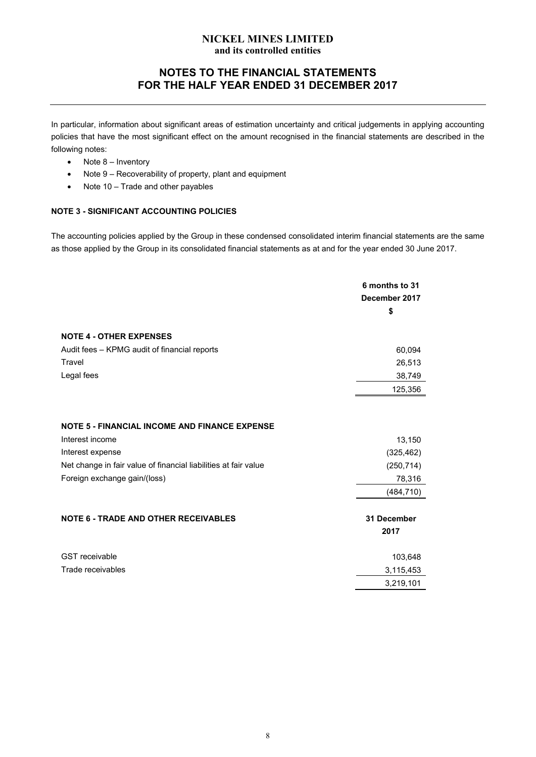# **NOTES TO THE FINANCIAL STATEMENTS FOR THE HALF YEAR ENDED 31 DECEMBER 2017**

In particular, information about significant areas of estimation uncertainty and critical judgements in applying accounting policies that have the most significant effect on the amount recognised in the financial statements are described in the following notes:

- Note 8 Inventory
- Note 9 Recoverability of property, plant and equipment
- Note 10 Trade and other payables

#### **NOTE 3 - SIGNIFICANT ACCOUNTING POLICIES**

The accounting policies applied by the Group in these condensed consolidated interim financial statements are the same as those applied by the Group in its consolidated financial statements as at and for the year ended 30 June 2017.

|                                                                 | 6 months to 31<br>December 2017 |
|-----------------------------------------------------------------|---------------------------------|
|                                                                 | \$                              |
| <b>NOTE 4 - OTHER EXPENSES</b>                                  |                                 |
| Audit fees - KPMG audit of financial reports                    | 60,094                          |
| Travel                                                          | 26,513                          |
| Legal fees                                                      | 38,749                          |
|                                                                 | 125,356                         |
|                                                                 |                                 |
| <b>NOTE 5 - FINANCIAL INCOME AND FINANCE EXPENSE</b>            |                                 |
| Interest income                                                 | 13,150                          |
| Interest expense                                                | (325, 462)                      |
| Net change in fair value of financial liabilities at fair value | (250, 714)                      |
| Foreign exchange gain/(loss)                                    | 78,316                          |
|                                                                 | (484, 710)                      |
| <b>NOTE 6 - TRADE AND OTHER RECEIVABLES</b>                     | 31 December<br>2017             |
| <b>GST</b> receivable                                           | 103,648                         |
| Trade receivables                                               | 3,115,453                       |
|                                                                 | 3,219,101                       |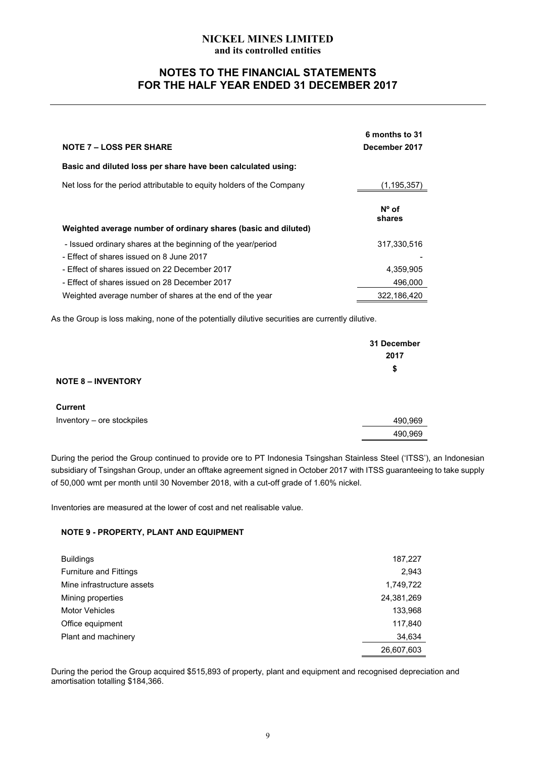# **NOTES TO THE FINANCIAL STATEMENTS FOR THE HALF YEAR ENDED 31 DECEMBER 2017**

| <b>NOTE 7 – LOSS PER SHARE</b>                                        | 6 months to 31<br>December 2017 |
|-----------------------------------------------------------------------|---------------------------------|
| Basic and diluted loss per share have been calculated using:          |                                 |
| Net loss for the period attributable to equity holders of the Company | (1, 195, 357)                   |
| Weighted average number of ordinary shares (basic and diluted)        | $N^{\circ}$ of<br>shares        |
| - Issued ordinary shares at the beginning of the year/period          | 317,330,516                     |
| - Effect of shares issued on 8 June 2017                              |                                 |
| - Effect of shares issued on 22 December 2017                         | 4,359,905                       |
| - Effect of shares issued on 28 December 2017                         | 496.000                         |
| Weighted average number of shares at the end of the year              | 322.186.420                     |

As the Group is loss making, none of the potentially dilutive securities are currently dilutive.

|                            | 31 December<br>2017 |
|----------------------------|---------------------|
| <b>NOTE 8 - INVENTORY</b>  | \$                  |
| <b>Current</b>             |                     |
| Inventory - ore stockpiles | 490,969             |
|                            | 490,969             |

During the period the Group continued to provide ore to PT Indonesia Tsingshan Stainless Steel ('ITSS'), an Indonesian subsidiary of Tsingshan Group, under an offtake agreement signed in October 2017 with ITSS guaranteeing to take supply of 50,000 wmt per month until 30 November 2018, with a cut-off grade of 1.60% nickel.

Inventories are measured at the lower of cost and net realisable value.

#### **NOTE 9 - PROPERTY, PLANT AND EQUIPMENT**

| <b>Buildings</b>              | 187,227    |
|-------------------------------|------------|
| <b>Furniture and Fittings</b> | 2,943      |
| Mine infrastructure assets    | 1,749,722  |
| Mining properties             | 24,381,269 |
| <b>Motor Vehicles</b>         | 133,968    |
| Office equipment              | 117,840    |
| Plant and machinery           | 34,634     |
|                               | 26,607,603 |

During the period the Group acquired \$515,893 of property, plant and equipment and recognised depreciation and amortisation totalling \$184,366.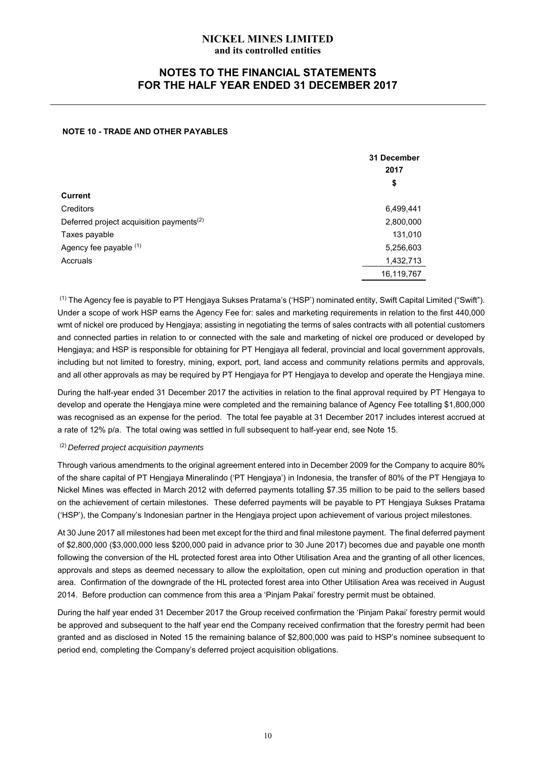# **NOTES TO THE FINANCIAL STATEMENTS FOR THE HALF YEAR ENDED 31 DECEMBER 2017**

#### **NOTE 10 - TRADE AND OTHER PAYABLES**

|                                                      | 31 December<br>2017 |
|------------------------------------------------------|---------------------|
|                                                      | \$                  |
| <b>Current</b>                                       |                     |
| <b>Creditors</b>                                     | 6,499,441           |
| Deferred project acquisition payments <sup>(2)</sup> | 2,800,000           |
| Taxes payable                                        | 131,010             |
| Agency fee payable (1)                               | 5,256,603           |
| Accruals                                             | 1,432,713           |
|                                                      | 16,119,767          |
|                                                      |                     |

(1) The Agency fee is payable to PT Hengjaya Sukses Pratama's ('HSP') nominated entity, Swift Capital Limited ("Swift"). Under a scope of work HSP earns the Agency Fee for: sales and marketing requirements in relation to the first 440,000 wmt of nickel ore produced by Hengjaya; assisting in negotiating the terms of sales contracts with all potential customers and connected parties in relation to or connected with the sale and marketing of nickel ore produced or developed by Hengjaya; and HSP is responsible for obtaining for PT Hengjaya all federal, provincial and local government approvals, including but not limited to forestry, mining, export, port, land access and community relations permits and approvals, and all other approvals as may be required by PT Hengjaya for PT Hengjaya to develop and operate the Hengjaya mine.

During the half-year ended 31 December 2017 the activities in relation to the final approval required by PT Hengaya to develop and operate the Hengjaya mine were completed and the remaining balance of Agency Fee totalling \$1,800,000 was recognised as an expense for the period. The total fee payable at 31 December 2017 includes interest accrued at a rate of 12% p/a. The total owing was settled in full subsequent to half-year end, see Note 15.

#### (2) *Deferred project acquisition payments*

Through various amendments to the original agreement entered into in December 2009 for the Company to acquire 80% of the share capital of PT Hengjaya Mineralindo ('PT Hengjaya') in Indonesia, the transfer of 80% of the PT Hengjaya to Nickel Mines was effected in March 2012 with deferred payments totalling \$7.35 million to be paid to the sellers based on the achievement of certain milestones. These deferred payments will be payable to PT Hengjaya Sukses Pratama ('HSP'), the Company's Indonesian partner in the Hengjaya project upon achievement of various project milestones.

At 30 June 2017 all milestones had been met except for the third and final milestone payment. The final deferred payment of \$2,800,000 (\$3,000,000 less \$200,000 paid in advance prior to 30 June 2017) becomes due and payable one month following the conversion of the HL protected forest area into Other Utilisation Area and the granting of all other licences, approvals and steps as deemed necessary to allow the exploitation, open cut mining and production operation in that area. Confirmation of the downgrade of the HL protected forest area into Other Utilisation Area was received in August 2014. Before production can commence from this area a 'Pinjam Pakai' forestry permit must be obtained.

During the half year ended 31 December 2017 the Group received confirmation the 'Pinjam Pakai' forestry permit would be approved and subsequent to the half year end the Company received confirmation that the forestry permit had been granted and as disclosed in Noted 15 the remaining balance of \$2,800,000 was paid to HSP's nominee subsequent to period end, completing the Company's deferred project acquisition obligations.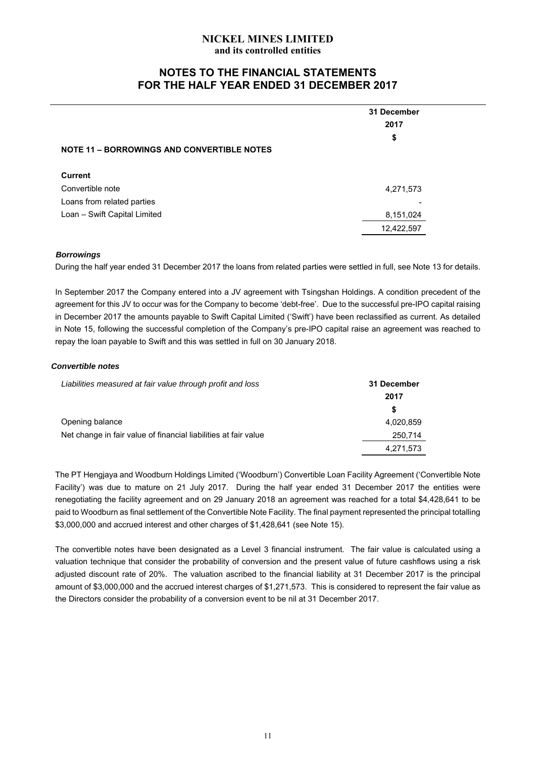# **NOTES TO THE FINANCIAL STATEMENTS FOR THE HALF YEAR ENDED 31 DECEMBER 2017**

|                                                   | 31 December<br>2017 |
|---------------------------------------------------|---------------------|
|                                                   | \$                  |
| <b>NOTE 11 - BORROWINGS AND CONVERTIBLE NOTES</b> |                     |
| <b>Current</b>                                    |                     |
| Convertible note                                  | 4,271,573           |
| Loans from related parties                        |                     |
| Loan - Swift Capital Limited                      | 8,151,024           |
|                                                   | 12,422,597          |

#### *Borrowings*

During the half year ended 31 December 2017 the loans from related parties were settled in full, see Note 13 for details.

In September 2017 the Company entered into a JV agreement with Tsingshan Holdings. A condition precedent of the agreement for this JV to occur was for the Company to become 'debt-free'. Due to the successful pre-IPO capital raising in December 2017 the amounts payable to Swift Capital Limited ('Swift') have been reclassified as current. As detailed in Note 15, following the successful completion of the Company's pre-IPO capital raise an agreement was reached to repay the loan payable to Swift and this was settled in full on 30 January 2018.

#### *Convertible notes*

| Liabilities measured at fair value through profit and loss      | 31 December |
|-----------------------------------------------------------------|-------------|
|                                                                 | 2017        |
|                                                                 | S           |
| Opening balance                                                 | 4,020,859   |
| Net change in fair value of financial liabilities at fair value | 250,714     |
|                                                                 | 4,271,573   |

The PT Hengjaya and Woodburn Holdings Limited ('Woodburn') Convertible Loan Facility Agreement ('Convertible Note Facility') was due to mature on 21 July 2017. During the half year ended 31 December 2017 the entities were renegotiating the facility agreement and on 29 January 2018 an agreement was reached for a total \$4,428,641 to be paid to Woodburn as final settlement of the Convertible Note Facility. The final payment represented the principal totalling \$3,000,000 and accrued interest and other charges of \$1,428,641 (see Note 15).

The convertible notes have been designated as a Level 3 financial instrument. The fair value is calculated using a valuation technique that consider the probability of conversion and the present value of future cashflows using a risk adjusted discount rate of 20%. The valuation ascribed to the financial liability at 31 December 2017 is the principal amount of \$3,000,000 and the accrued interest charges of \$1,271,573. This is considered to represent the fair value as the Directors consider the probability of a conversion event to be nil at 31 December 2017.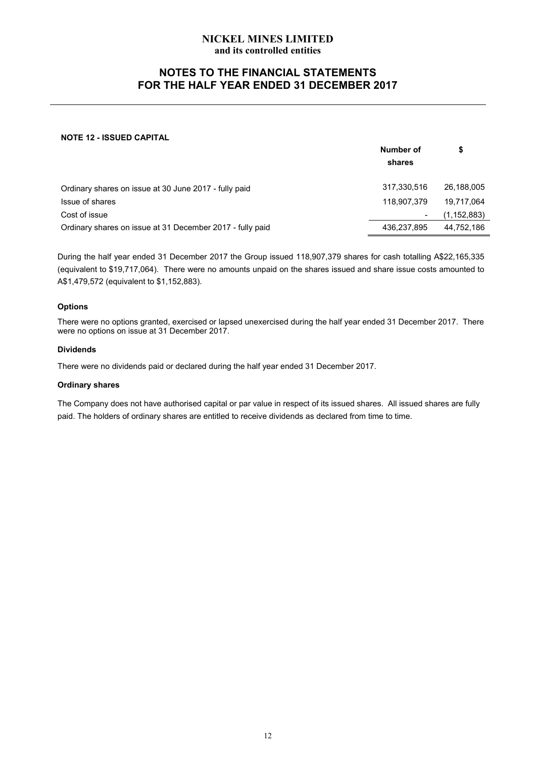# **NOTES TO THE FINANCIAL STATEMENTS FOR THE HALF YEAR ENDED 31 DECEMBER 2017**

#### **NOTE 12 - ISSUED CAPITAL**

|                                                           | Number of<br>shares |               |
|-----------------------------------------------------------|---------------------|---------------|
| Ordinary shares on issue at 30 June 2017 - fully paid     | 317,330,516         | 26,188,005    |
| Issue of shares                                           | 118.907.379         | 19,717,064    |
| Cost of issue                                             |                     | (1, 152, 883) |
| Ordinary shares on issue at 31 December 2017 - fully paid | 436,237,895         | 44,752,186    |

During the half year ended 31 December 2017 the Group issued 118,907,379 shares for cash totalling A\$22,165,335 (equivalent to \$19,717,064). There were no amounts unpaid on the shares issued and share issue costs amounted to A\$1,479,572 (equivalent to \$1,152,883).

#### **Options**

There were no options granted, exercised or lapsed unexercised during the half year ended 31 December 2017. There were no options on issue at 31 December 2017.

#### **Dividends**

There were no dividends paid or declared during the half year ended 31 December 2017.

#### **Ordinary shares**

The Company does not have authorised capital or par value in respect of its issued shares. All issued shares are fully paid. The holders of ordinary shares are entitled to receive dividends as declared from time to time.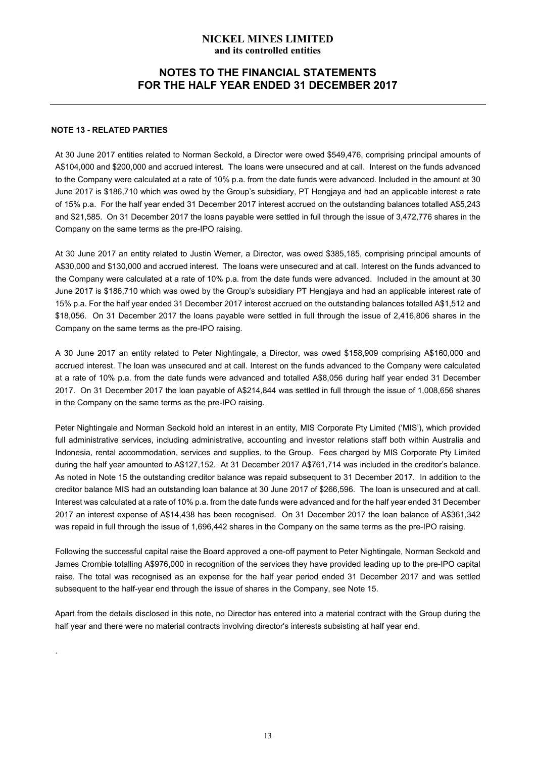# **NOTES TO THE FINANCIAL STATEMENTS FOR THE HALF YEAR ENDED 31 DECEMBER 2017**

#### **NOTE 13 - RELATED PARTIES**

.

At 30 June 2017 entities related to Norman Seckold, a Director were owed \$549,476, comprising principal amounts of A\$104,000 and \$200,000 and accrued interest. The loans were unsecured and at call. Interest on the funds advanced to the Company were calculated at a rate of 10% p.a. from the date funds were advanced. Included in the amount at 30 June 2017 is \$186,710 which was owed by the Group's subsidiary, PT Hengjaya and had an applicable interest a rate of 15% p.a. For the half year ended 31 December 2017 interest accrued on the outstanding balances totalled A\$5,243 and \$21,585. On 31 December 2017 the loans payable were settled in full through the issue of 3,472,776 shares in the Company on the same terms as the pre-IPO raising.

At 30 June 2017 an entity related to Justin Werner, a Director, was owed \$385,185, comprising principal amounts of A\$30,000 and \$130,000 and accrued interest. The loans were unsecured and at call. Interest on the funds advanced to the Company were calculated at a rate of 10% p.a. from the date funds were advanced. Included in the amount at 30 June 2017 is \$186,710 which was owed by the Group's subsidiary PT Hengjaya and had an applicable interest rate of 15% p.a. For the half year ended 31 December 2017 interest accrued on the outstanding balances totalled A\$1,512 and \$18,056. On 31 December 2017 the loans payable were settled in full through the issue of 2,416,806 shares in the Company on the same terms as the pre-IPO raising.

A 30 June 2017 an entity related to Peter Nightingale, a Director, was owed \$158,909 comprising A\$160,000 and accrued interest. The loan was unsecured and at call. Interest on the funds advanced to the Company were calculated at a rate of 10% p.a. from the date funds were advanced and totalled A\$8,056 during half year ended 31 December 2017. On 31 December 2017 the loan payable of A\$214,844 was settled in full through the issue of 1,008,656 shares in the Company on the same terms as the pre-IPO raising.

Peter Nightingale and Norman Seckold hold an interest in an entity, MIS Corporate Pty Limited ('MIS'), which provided full administrative services, including administrative, accounting and investor relations staff both within Australia and Indonesia, rental accommodation, services and supplies, to the Group. Fees charged by MIS Corporate Pty Limited during the half year amounted to A\$127,152. At 31 December 2017 A\$761,714 was included in the creditor's balance. As noted in Note 15 the outstanding creditor balance was repaid subsequent to 31 December 2017. In addition to the creditor balance MIS had an outstanding loan balance at 30 June 2017 of \$266,596. The loan is unsecured and at call. Interest was calculated at a rate of 10% p.a. from the date funds were advanced and for the half year ended 31 December 2017 an interest expense of A\$14,438 has been recognised. On 31 December 2017 the loan balance of A\$361,342 was repaid in full through the issue of 1,696,442 shares in the Company on the same terms as the pre-IPO raising.

Following the successful capital raise the Board approved a one-off payment to Peter Nightingale, Norman Seckold and James Crombie totalling A\$976,000 in recognition of the services they have provided leading up to the pre-IPO capital raise. The total was recognised as an expense for the half year period ended 31 December 2017 and was settled subsequent to the half-year end through the issue of shares in the Company, see Note 15.

Apart from the details disclosed in this note, no Director has entered into a material contract with the Group during the half year and there were no material contracts involving director's interests subsisting at half year end.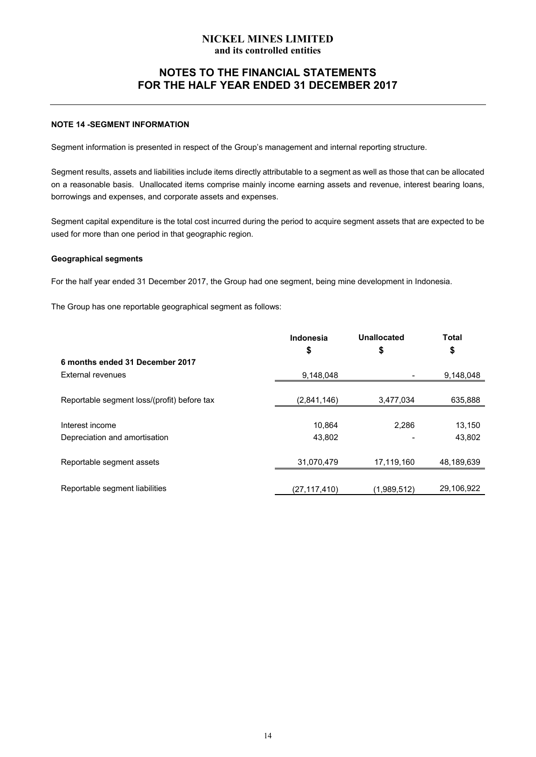# **NOTES TO THE FINANCIAL STATEMENTS FOR THE HALF YEAR ENDED 31 DECEMBER 2017**

#### **NOTE 14 -SEGMENT INFORMATION**

Segment information is presented in respect of the Group's management and internal reporting structure.

Segment results, assets and liabilities include items directly attributable to a segment as well as those that can be allocated on a reasonable basis. Unallocated items comprise mainly income earning assets and revenue, interest bearing loans, borrowings and expenses, and corporate assets and expenses.

Segment capital expenditure is the total cost incurred during the period to acquire segment assets that are expected to be used for more than one period in that geographic region.

#### **Geographical segments**

For the half year ended 31 December 2017, the Group had one segment, being mine development in Indonesia.

The Group has one reportable geographical segment as follows:

|                                             | Indonesia<br>\$ | Unallocated<br>\$ | <b>Total</b><br>\$ |
|---------------------------------------------|-----------------|-------------------|--------------------|
| 6 months ended 31 December 2017             |                 |                   |                    |
| External revenues                           | 9,148,048       |                   | 9,148,048          |
|                                             |                 |                   |                    |
| Reportable segment loss/(profit) before tax | (2,841,146)     | 3,477,034         | 635,888            |
|                                             |                 |                   |                    |
| Interest income                             | 10.864          | 2.286             | 13,150             |
| Depreciation and amortisation               | 43,802          |                   | 43,802             |
|                                             |                 |                   |                    |
| Reportable segment assets                   | 31,070,479      | 17,119,160        | 48,189,639         |
|                                             |                 |                   |                    |
| Reportable segment liabilities              | (27,117,410)    | (1,989,512)       | 29,106,922         |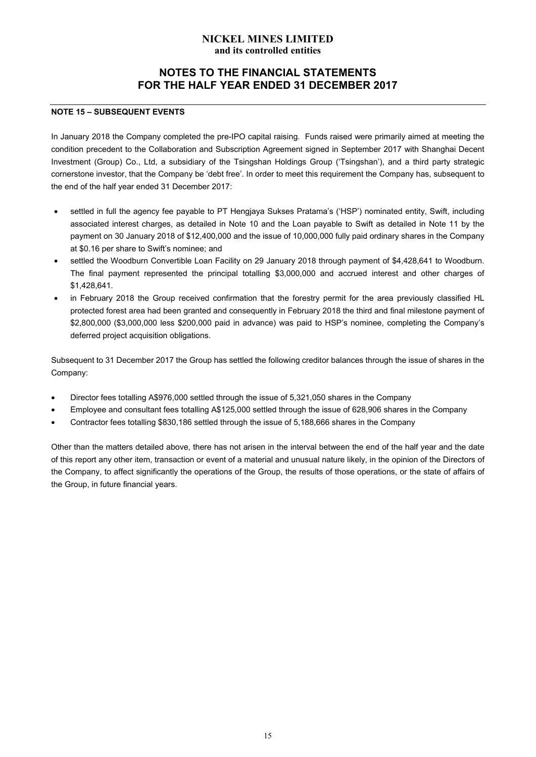# **NOTES TO THE FINANCIAL STATEMENTS FOR THE HALF YEAR ENDED 31 DECEMBER 2017**

#### **NOTE 15 – SUBSEQUENT EVENTS**

In January 2018 the Company completed the pre-IPO capital raising. Funds raised were primarily aimed at meeting the condition precedent to the Collaboration and Subscription Agreement signed in September 2017 with Shanghai Decent Investment (Group) Co., Ltd, a subsidiary of the Tsingshan Holdings Group ('Tsingshan'), and a third party strategic cornerstone investor, that the Company be 'debt free'. In order to meet this requirement the Company has, subsequent to the end of the half year ended 31 December 2017:

- settled in full the agency fee payable to PT Hengjaya Sukses Pratama's ('HSP') nominated entity, Swift, including associated interest charges, as detailed in Note 10 and the Loan payable to Swift as detailed in Note 11 by the payment on 30 January 2018 of \$12,400,000 and the issue of 10,000,000 fully paid ordinary shares in the Company at \$0.16 per share to Swift's nominee; and
- settled the Woodburn Convertible Loan Facility on 29 January 2018 through payment of \$4,428,641 to Woodburn. The final payment represented the principal totalling \$3,000,000 and accrued interest and other charges of \$1,428,641.
- in February 2018 the Group received confirmation that the forestry permit for the area previously classified HL protected forest area had been granted and consequently in February 2018 the third and final milestone payment of \$2,800,000 (\$3,000,000 less \$200,000 paid in advance) was paid to HSP's nominee, completing the Company's deferred project acquisition obligations.

Subsequent to 31 December 2017 the Group has settled the following creditor balances through the issue of shares in the Company:

- Director fees totalling A\$976,000 settled through the issue of 5,321,050 shares in the Company
- Employee and consultant fees totalling A\$125,000 settled through the issue of 628,906 shares in the Company
- Contractor fees totalling \$830,186 settled through the issue of 5,188,666 shares in the Company

Other than the matters detailed above, there has not arisen in the interval between the end of the half year and the date of this report any other item, transaction or event of a material and unusual nature likely, in the opinion of the Directors of the Company, to affect significantly the operations of the Group, the results of those operations, or the state of affairs of the Group, in future financial years.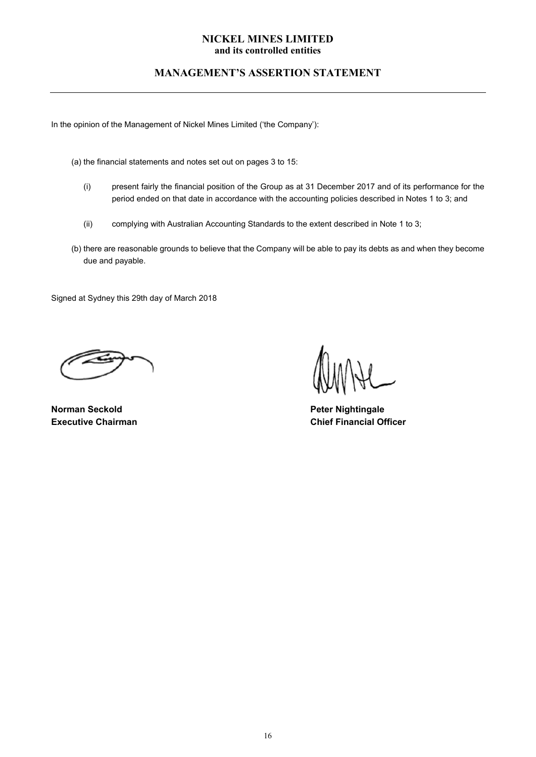# **MANAGEMENT'S ASSERTION STATEMENT**

In the opinion of the Management of Nickel Mines Limited ('the Company'):

- (a) the financial statements and notes set out on pages 3 to 15:
	- (i) present fairly the financial position of the Group as at 31 December 2017 and of its performance for the period ended on that date in accordance with the accounting policies described in Notes 1 to 3; and
	- (ii) complying with Australian Accounting Standards to the extent described in Note 1 to 3;
- (b) there are reasonable grounds to believe that the Company will be able to pay its debts as and when they become due and payable.

Signed at Sydney this 29th day of March 2018

**Norman Seckold Peter Nightingale 2018** 

**Executive Chairman Chief Financial Officer**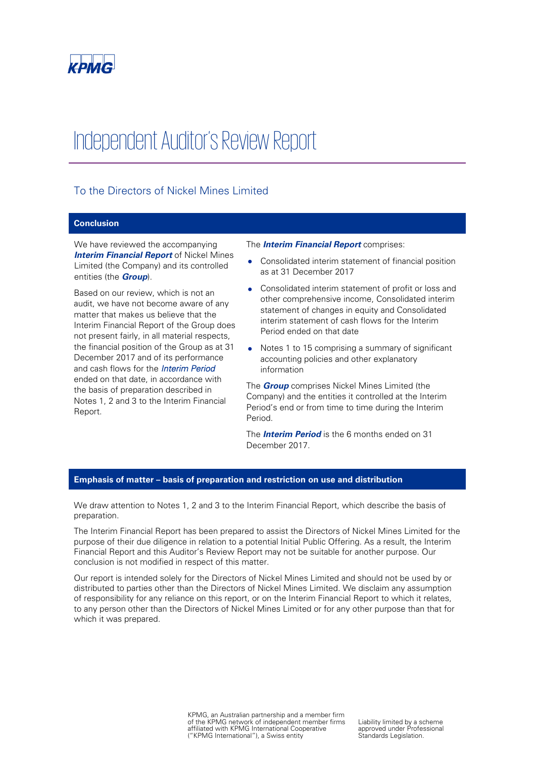

# Independent Auditor's Review Report

# To the Directors of Nickel Mines Limited

#### **Conclusion**

We have reviewed the accompanying *Interim Financial Report* of Nickel Mines Limited (the Company) and its controlled entities (the *Group*).

Based on our review, which is not an audit, we have not become aware of any matter that makes us believe that the Interim Financial Report of the Group does not present fairly, in all material respects, the financial position of the Group as at 31 December 2017 and of its performance and cash flows for the *Interim Period*  ended on that date, in accordance with the basis of preparation described in Notes 1, 2 and 3 to the Interim Financial Report.

#### The *Interim Financial Report* comprises:

- Consolidated interim statement of financial position as at 31 December 2017
- Consolidated interim statement of profit or loss and other comprehensive income, Consolidated interim statement of changes in equity and Consolidated interim statement of cash flows for the Interim Period ended on that date
- Notes 1 to 15 comprising a summary of significant accounting policies and other explanatory information

The *Group* comprises Nickel Mines Limited (the Company) and the entities it controlled at the Interim Period's end or from time to time during the Interim Period.

The *Interim Period* is the 6 months ended on 31 December 2017.

#### **Emphasis of matter – basis of preparation and restriction on use and distribution**

We draw attention to Notes 1, 2 and 3 to the Interim Financial Report, which describe the basis of preparation.

The Interim Financial Report has been prepared to assist the Directors of Nickel Mines Limited for the purpose of their due diligence in relation to a potential Initial Public Offering. As a result, the Interim Financial Report and this Auditor's Review Report may not be suitable for another purpose. Our conclusion is not modified in respect of this matter.

Our report is intended solely for the Directors of Nickel Mines Limited and should not be used by or distributed to parties other than the Directors of Nickel Mines Limited. We disclaim any assumption of responsibility for any reliance on this report, or on the Interim Financial Report to which it relates, to any person other than the Directors of Nickel Mines Limited or for any other purpose than that for which it was prepared.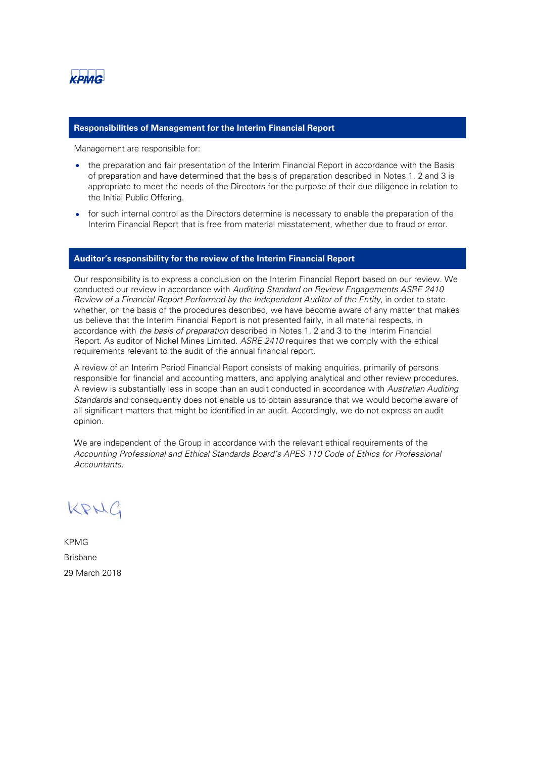

#### **Responsibilities of Management for the Interim Financial Report**

Management are responsible for:

- the preparation and fair presentation of the Interim Financial Report in accordance with the Basis of preparation and have determined that the basis of preparation described in Notes 1, 2 and 3 is appropriate to meet the needs of the Directors for the purpose of their due diligence in relation to the Initial Public Offering.
- for such internal control as the Directors determine is necessary to enable the preparation of the Interim Financial Report that is free from material misstatement, whether due to fraud or error.

#### **Auditor's responsibility for the review of the Interim Financial Report**

Our responsibility is to express a conclusion on the Interim Financial Report based on our review. We conducted our review in accordance with *Auditing Standard on Review Engagements ASRE 2410 Review of a Financial Report Performed by the Independent Auditor of the Entity*, in order to state whether, on the basis of the procedures described, we have become aware of any matter that makes us believe that the Interim Financial Report is not presented fairly, in all material respects, in accordance with *the basis of preparation* described in Notes 1, 2 and 3 to the Interim Financial Report. As auditor of Nickel Mines Limited. *ASRE 2410* requires that we comply with the ethical requirements relevant to the audit of the annual financial report.

A review of an Interim Period Financial Report consists of making enquiries, primarily of persons responsible for financial and accounting matters, and applying analytical and other review procedures. A review is substantially less in scope than an audit conducted in accordance with *Australian Auditing Standards* and consequently does not enable us to obtain assurance that we would become aware of all significant matters that might be identified in an audit. Accordingly, we do not express an audit opinion.

We are independent of the Group in accordance with the relevant ethical requirements of the *Accounting Professional and Ethical Standards Board's APES 110 Code of Ethics for Professional Accountants.*

KRNG

KPMG Brisbane 29 March 2018